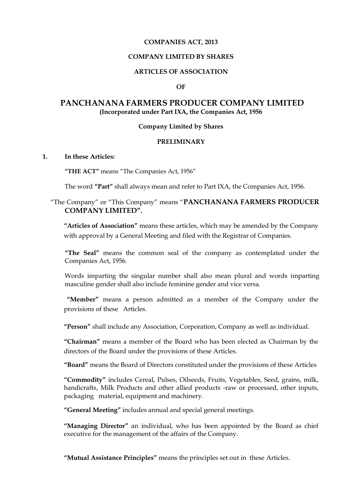#### **COMPANIES ACT, 2013**

#### **COMPANY LIMITED BY SHARES**

#### **ARTICLES OF ASSOCIATION**

#### **OF**

# **PANCHANANA FARMERS PRODUCER COMPANY LIMITED (Incorporated under Part IXA, the Companies Act, 1956**

#### **Company Limited by Shares**

#### **PRELIMINARY**

#### **1. In these Articles:**

**"THE ACT"** means "The Companies Act, 1956"

The word **"Part"** shall always mean and refer to Part IXA, the Companies Act, 1956.

# "The Company" or "This Company" means "**PANCHANANA FARMERS PRODUCER COMPANY LIMITED".**

**"Articles of Association"** means these articles, which may be amended by the Company with approval by a General Meeting and filed with the Registrar of Companies.

**"The Seal"** means the common seal of the company as contemplated under the Companies Act, 1956.

Words imparting the singular number shall also mean plural and words imparting masculine gender shall also include feminine gender and vice versa.

 **"Member"** means a person admitted as a member of the Company under the provisions of theseArticles.

**"Person"** shall include any Association, Corporation, Company as well as individual.

**"Chairman"** means a member of the Board who has been elected as Chairman by the directors of the Board under the provisions of these Articles.

**"Board"** means the Board of Directors constituted under the provisions of these Articles

**"Commodity"** includes Cereal, Pulses, Oilseeds, Fruits, Vegetables, Seed, grains, milk, handicrafts, Milk Products and other allied products -raw or processed, other inputs, packaging material, equipment and machinery.

**"General Meeting"** includes annual and special general meetings.

**"Managing Director"** an individual, who has been appointed by the Board as chief executive for the management of the affairs of the Company.

**"Mutual Assistance Principles"** means the principles set out in these Articles.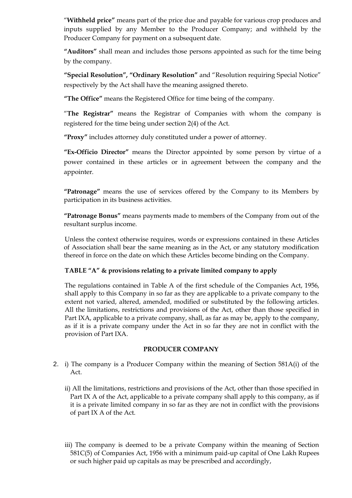"**Withheld price"** means part of the price due and payable for various crop produces and inputs supplied by any Member to the Producer Company; and withheld by the Producer Company for payment on a subsequent date.

**"Auditors"** shall mean and includes those persons appointed as such for the time being by the company.

**"Special Resolution", "Ordinary Resolution"** and "Resolution requiring Special Notice" respectively by the Act shall have the meaning assigned thereto.

**"The Office"** means the Registered Office for time being of the company.

"**The Registrar"** means the Registrar of Companies with whom the company is registered for the time being under section 2(4) of the Act.

**"Proxy"** includes attorney duly constituted under a power of attorney.

**"Ex-Officio Director"** means the Director appointed by some person by virtue of a power contained in these articles or in agreement between the company and the appointer.

**"Patronage"** means the use of services offered by the Company to its Members by participation in its business activities.

**"Patronage Bonus"** means payments made to members of the Company from out of the resultant surplus income.

Unless the context otherwise requires, words or expressions contained in these Articles of Association shall bear the same meaning as in the Act, or any statutory modification thereof in force on the date on which these Articles become binding on the Company.

### **TABLE "A" & provisions relating to a private limited company to apply**

The regulations contained in Table A of the first schedule of the Companies Act, 1956, shall apply to this Company in so far as they are applicable to a private company to the extent not varied, altered, amended, modified or substituted by the following articles. All the limitations, restrictions and provisions of the Act, other than those specified in Part IXA, applicable to a private company, shall, as far as may be, apply to the company, as if it is a private company under the Act in so far they are not in conflict with the provision of Part IXA.

### **PRODUCER COMPANY**

- 2. i) The company is a Producer Company within the meaning of Section 581A(i) of the Act.
	- ii) All the limitations, restrictions and provisions of the Act, other than those specified in Part IX A of the Act, applicable to a private company shall apply to this company, as if it is a private limited company in so far as they are not in conflict with the provisions of part IX A of the Act.
	- iii) The company is deemed to be a private Company within the meaning of Section 581C(5) of Companies Act, 1956 with a minimum paid-up capital of One Lakh Rupees or such higher paid up capitals as may be prescribed and accordingly,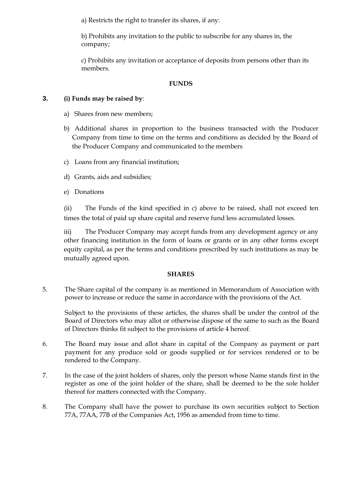a) Restricts the right to transfer its shares, if any:

b) Prohibits any invitation to the public to subscribe for any shares in, the company;

c) Prohibits any invitation or acceptance of deposits from persons other than its members.

# **FUNDS**

# **3. (i) Funds may be raised by**:

- a) Shares from new members;
- b) Additional shares in proportion to the business transacted with the Producer Company from time to time on the terms and conditions as decided by the Board of the Producer Company and communicated to the members
- c) Loans from any financial institution;
- d) Grants, aids and subsidies;
- e) Donations

(ii) The Funds of the kind specified in c) above to be raised, shall not exceed ten times the total of paid up share capital and reserve fund less accumulated losses.

iii) The Producer Company may accept funds from any development agency or any other financing institution in the form of loans or grants or in any other forms except equity capital, as per the terms and conditions prescribed by such institutions as may be mutually agreed upon.

### **SHARES**

5. The Share capital of the company is as mentioned in Memorandum of Association with power to increase or reduce the same in accordance with the provisions of the Act.

Subject to the provisions of these articles, the shares shall be under the control of the Board of Directors who may allot or otherwise dispose of the same to such as the Board of Directors thinks fit subject to the provisions of article 4 hereof.

- 6. The Board may issue and allot share in capital of the Company as payment or part payment for any produce sold or goods supplied or for services rendered or to be rendered to the Company.
- 7. In the case of the joint holders of shares, only the person whose Name stands first in the register as one of the joint holder of the share, shall be deemed to be the sole holder thereof for matters connected with the Company.
- 8. The Company shall have the power to purchase its own securities subject to Section 77A, 77AA, 77B of the Companies Act, 1956 as amended from time to time.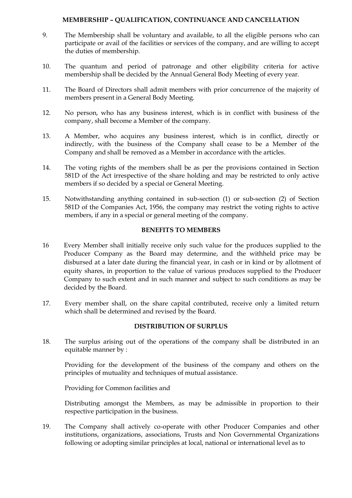### **MEMBERSHIP – QUALIFICATION, CONTINUANCE AND CANCELLATION**

- 9. The Membership shall be voluntary and available, to all the eligible persons who can participate or avail of the facilities or services of the company, and are willing to accept the duties of membership.
- 10. The quantum and period of patronage and other eligibility criteria for active membership shall be decided by the Annual General Body Meeting of every year.
- 11. The Board of Directors shall admit members with prior concurrence of the majority of members present in a General Body Meeting.
- 12. No person, who has any business interest, which is in conflict with business of the company, shall become a Member of the company.
- 13. A Member, who acquires any business interest, which is in conflict, directly or indirectly, with the business of the Company shall cease to be a Member of the Company and shall be removed as a Member in accordance with the articles.
- 14. The voting rights of the members shall be as per the provisions contained in Section 581D of the Act irrespective of the share holding and may be restricted to only active members if so decided by a special or General Meeting.
- 15. Notwithstanding anything contained in sub-section (1) or sub-section (2) of Section 581D of the Companies Act, 1956, the company may restrict the voting rights to active members, if any in a special or general meeting of the company.

#### **BENEFITS TO MEMBERS**

- 16 Every Member shall initially receive only such value for the produces supplied to the Producer Company as the Board may determine, and the withheld price may be disbursed at a later date during the financial year, in cash or in kind or by allotment of equity shares, in proportion to the value of various produces supplied to the Producer Company to such extent and in such manner and subject to such conditions as may be decided by the Board.
- 17. Every member shall, on the share capital contributed, receive only a limited return which shall be determined and revised by the Board.

### **DISTRIBUTION OF SURPLUS**

18. The surplus arising out of the operations of the company shall be distributed in an equitable manner by :

Providing for the development of the business of the company and others on the principles of mutuality and techniques of mutual assistance.

Providing for Common facilities and

Distributing amongst the Members, as may be admissible in proportion to their respective participation in the business.

19. The Company shall actively co-operate with other Producer Companies and other institutions, organizations, associations, Trusts and Non Governmental Organizations following or adopting similar principles at local, national or international level as to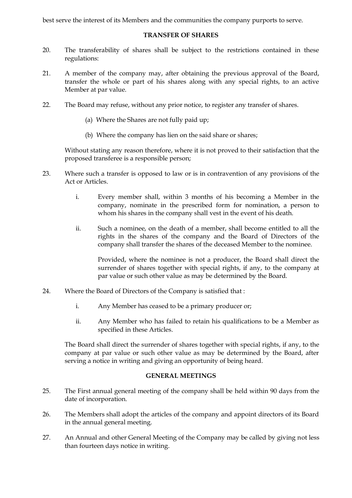best serve the interest of its Members and the communities the company purports to serve.

#### **TRANSFER OF SHARES**

- 20. The transferability of shares shall be subject to the restrictions contained in these regulations:
- 21. A member of the company may, after obtaining the previous approval of the Board, transfer the whole or part of his shares along with any special rights, to an active Member at par value.
- 22. The Board may refuse, without any prior notice, to register any transfer of shares.
	- (a) Where the Shares are not fully paid up;
	- (b) Where the company has lien on the said share or shares;

Without stating any reason therefore, where it is not proved to their satisfaction that the proposed transferee is a responsible person;

- 23. Where such a transfer is opposed to law or is in contravention of any provisions of the Act or Articles.
	- i. Every member shall, within 3 months of his becoming a Member in the company, nominate in the prescribed form for nomination, a person to whom his shares in the company shall vest in the event of his death.
	- ii. Such a nominee, on the death of a member, shall become entitled to all the rights in the shares of the company and the Board of Directors of the company shall transfer the shares of the deceased Member to the nominee.

Provided, where the nominee is not a producer, the Board shall direct the surrender of shares together with special rights, if any, to the company at par value or such other value as may be determined by the Board.

- 24. Where the Board of Directors of the Company is satisfied that :
	- i. Any Member has ceased to be a primary producer or;
	- ii. Any Member who has failed to retain his qualifications to be a Member as specified in these Articles.

The Board shall direct the surrender of shares together with special rights, if any, to the company at par value or such other value as may be determined by the Board, after serving a notice in writing and giving an opportunity of being heard.

### **GENERAL MEETINGS**

- 25. The First annual general meeting of the company shall be held within 90 days from the date of incorporation.
- 26. The Members shall adopt the articles of the company and appoint directors of its Board in the annual general meeting.
- 27. An Annual and other General Meeting of the Company may be called by giving not less than fourteen days notice in writing.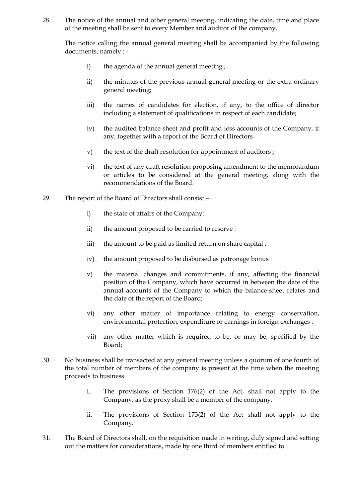28. The notice of the annual and other general meeting, indicating the date, time and place of the meeting shall be sent to every Member and auditor of the company.

The notice calling the annual general meeting shall be accompanied by the following documents, namely : -

- i) the agenda of the annual general meeting;
- ii) the minutes of the previous annual general meeting or the extra ordinary general meeting;
- iii) the names of candidates for election, if any, to the office of director including a statement of qualifications in respect of each candidate;
- iv) the audited balance sheet and profit and loss accounts of the Company, if any, together with a report of the Board of Directors
- v) the text of the draft resolution for appointment of auditors ;
- vi) the text of any draft resolution proposing amendment to the memorandum or articles to be considered at the general meeting, along with the recommendations of the Board.
- 29. The report of the Board of Directors shall consist
	- i) the state of affairs of the Company:
	- ii) the amount proposed to be carried to reserve :
	- iii) the amount to be paid as limited return on share capital :
	- iv) the amount proposed to be disbursed as patronage bonus :
	- v) the material changes and commitments, if any, affecting the financial position of the Company, which have occurred in between the date of the annual accounts of the Company to which the balance-sheet relates and the date of the report of the Board:
	- vi) any other matter of importance relating to energy conservation, environmental protection, expenditure or earnings in foreign exchanges :
	- vii) any other matter which is required to be, or may be, specified by the Board;
- 30. No business shall be transacted at any general meeting unless a quorum of one fourth of the total number of members of the company is present at the time when the meeting proceeds to business.
	- i. The provisions of Section 176(2) of the Act, shall not apply to the Company, as the proxy shall be a member of the company.
	- ii. The provisions of Section 173(2) of the Act shall not apply to the Company.
- 31. The Board of Directors shall, on the requisition made in writing, duly signed and setting out the matters for considerations, made by one third of members entitled to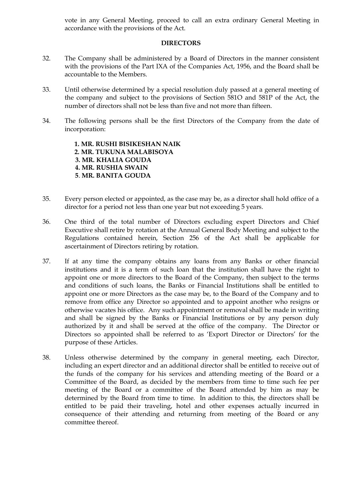vote in any General Meeting, proceed to call an extra ordinary General Meeting in accordance with the provisions of the Act.

#### **DIRECTORS**

- 32. The Company shall be administered by a Board of Directors in the manner consistent with the provisions of the Part IXA of the Companies Act, 1956, and the Board shall be accountable to the Members.
- 33. Until otherwise determined by a special resolution duly passed at a general meeting of the company and subject to the provisions of Section 581O and 581P of the Act, the number of directors shall not be less than five and not more than fifteen.
- 34. The following persons shall be the first Directors of the Company from the date of incorporation:

**1. MR. RUSHI BISIKESHAN NAIK 2. MR. TUKUNA MALABISOYA 3. MR. KHALIA GOUDA 4. MR. RUSHIA SWAIN 5**. **MR. BANITA GOUDA**

- 35. Every person elected or appointed, as the case may be, as a director shall hold office of a director for a period not less than one year but not exceeding 5 years.
- 36. One third of the total number of Directors excluding expert Directors and Chief Executive shall retire by rotation at the Annual General Body Meeting and subject to the Regulations contained herein, Section 256 of the Act shall be applicable for ascertainment of Directors retiring by rotation.
- 37. If at any time the company obtains any loans from any Banks or other financial institutions and it is a term of such loan that the institution shall have the right to appoint one or more directors to the Board of the Company, then subject to the terms and conditions of such loans, the Banks or Financial Institutions shall be entitled to appoint one or more Directors as the case may be, to the Board of the Company and to remove from office any Director so appointed and to appoint another who resigns or otherwise vacates his office. Any such appointment or removal shall be made in writing and shall be signed by the Banks or Financial Institutions or by any person duly authorized by it and shall be served at the office of the company. The Director or Directors so appointed shall be referred to as "Export Director or Directors" for the purpose of these Articles.
- 38. Unless otherwise determined by the company in general meeting, each Director, including an expert director and an additional director shall be entitled to receive out of the funds of the company for his services and attending meeting of the Board or a Committee of the Board, as decided by the members from time to time such fee per meeting of the Board or a committee of the Board attended by him as may be determined by the Board from time to time. In addition to this, the directors shall be entitled to be paid their traveling, hotel and other expenses actually incurred in consequence of their attending and returning from meeting of the Board or any committee thereof.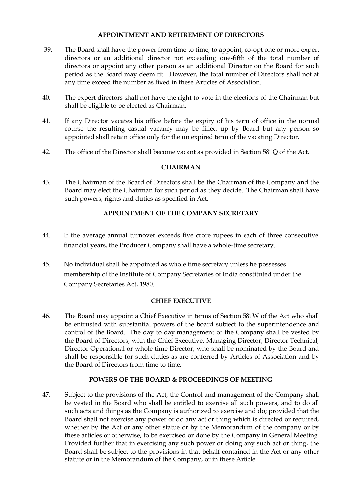### **APPOINTMENT AND RETIREMENT OF DIRECTORS**

- 39. The Board shall have the power from time to time, to appoint, co-opt one or more expert directors or an additional director not exceeding one-fifth of the total number of directors or appoint any other person as an additional Director on the Board for such period as the Board may deem fit. However, the total number of Directors shall not at any time exceed the number as fixed in these Articles of Association.
- 40. The expert directors shall not have the right to vote in the elections of the Chairman but shall be eligible to be elected as Chairman.
- 41. If any Director vacates his office before the expiry of his term of office in the normal course the resulting casual vacancy may be filled up by Board but any person so appointed shall retain office only for the un expired term of the vacating Director.
- 42. The office of the Director shall become vacant as provided in Section 581Q of the Act.

### **CHAIRMAN**

43. The Chairman of the Board of Directors shall be the Chairman of the Company and the Board may elect the Chairman for such period as they decide. The Chairman shall have such powers, rights and duties as specified in Act.

# **APPOINTMENT OF THE COMPANY SECRETARY**

- 44. If the average annual turnover exceeds five crore rupees in each of three consecutive financial years, the Producer Company shall have a whole-time secretary.
- 45. No individual shall be appointed as whole time secretary unless he possesses membership of the Institute of Company Secretaries of India constituted under the Company Secretaries Act, 1980.

### **CHIEF EXECUTIVE**

46. The Board may appoint a Chief Executive in terms of Section 581W of the Act who shall be entrusted with substantial powers of the board subject to the superintendence and control of the Board. The day to day management of the Company shall be vested by the Board of Directors, with the Chief Executive, Managing Director, Director Technical, Director Operational or whole time Director, who shall be nominated by the Board and shall be responsible for such duties as are conferred by Articles of Association and by the Board of Directors from time to time.

### **POWERS OF THE BOARD & PROCEEDINGS OF MEETING**

47. Subject to the provisions of the Act, the Control and management of the Company shall be vested in the Board who shall be entitled to exercise all such powers, and to do all such acts and things as the Company is authorized to exercise and do; provided that the Board shall not exercise any power or do any act or thing which is directed or required, whether by the Act or any other statue or by the Memorandum of the company or by these articles or otherwise, to be exercised or done by the Company in General Meeting. Provided further that in exercising any such power or doing any such act or thing, the Board shall be subject to the provisions in that behalf contained in the Act or any other statute or in the Memorandum of the Company, or in these Article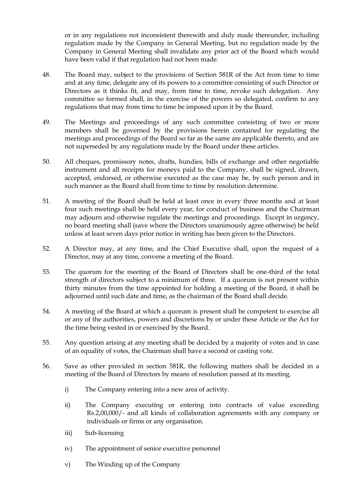or in any regulations not inconsistent therewith and duly made thereunder, including regulation made by the Company in General Meeting, but no regulation made by the Company in General Meeting shall invalidate any prior act of the Board which would have been valid if that regulation had not been made.

- 48. The Board may, subject to the provisions of Section 581R of the Act from time to time and at any time, delegate any of its powers to a committee consisting of such Director or Directors as it thinks fit, and may, from time to time, revoke such delegation. Any committee so formed shall, in the exercise of the powers so delegated, confirm to any regulations that may from time to time be imposed upon it by the Board.
- 49. The Meetings and proceedings of any such committee consisting of two or more members shall be governed by the provisions herein contained for regulating the meetings and proceedings of the Board so far as the same are applicable thereto, and are not superseded by any regulations made by the Board under these articles.
- 50. All cheques, promissory notes, drafts, hundies, bills of exchange and other negotiable instrument and all receipts for moneys paid to the Company, shall be signed, drawn, accepted, endorsed, or otherwise executed as the case may be, by such person and in such manner as the Board shall from time to time by resolution determine.
- 51. A meeting of the Board shall be held at least once in every three months and at least four such meetings shall be held every year, for conduct of business and the Chairman may adjourn and otherwise regulate the meetings and proceedings. Except in urgency, no board meeting shall (save where the Directors unanimously agree otherwise) be held unless at least seven days prior notice in writing has been given to the Directors.
- 52. A Director may, at any time, and the Chief Executive shall, upon the request of a Director, may at any time, convene a meeting of the Board.
- 53. The quorum for the meeting of the Board of Directors shall be one-third of the total strength of directors subject to a minimum of three. If a quorum is not present within thirty minutes from the time appointed for holding a meeting of the Board, it shall be adjourned until such date and time, as the chairman of the Board shall decide.
- 54. A meeting of the Board at which a quorum is present shall be competent to exercise all or any of the authorities, powers and discretions by or under these Article or the Act for the time being vested in or exercised by the Board.
- 55. Any question arising at any meeting shall be decided by a majority of votes and in case of an equality of votes, the Chairman shall have a second or casting vote.
- 56. Save as other provided in section 581R, the following matters shall be decided in a meeting of the Board of Directors by means of resolution passed at its meeting.
	- i) The Company entering into a new area of activity.
	- ii) The Company executing or entering into contracts of value exceeding Rs.2,00,000/- and all kinds of collaboration agreements with any company or individuals or firms or any organisation.
	- iii) Sub-licensing
	- iv) The appointment of senior executive personnel
	- v) The Winding up of the Company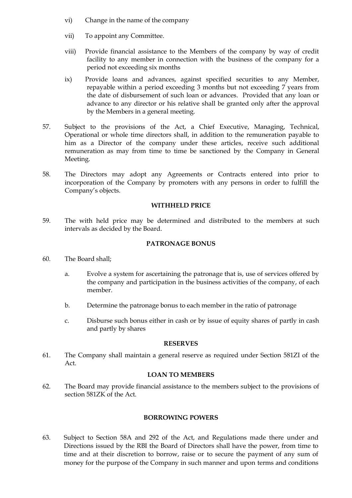- vi) Change in the name of the company
- vii) To appoint any Committee.
- viii) Provide financial assistance to the Members of the company by way of credit facility to any member in connection with the business of the company for a period not exceeding six months
- ix) Provide loans and advances, against specified securities to any Member, repayable within a period exceeding 3 months but not exceeding 7 years from the date of disbursement of such loan or advances. Provided that any loan or advance to any director or his relative shall be granted only after the approval by the Members in a general meeting.
- 57. Subject to the provisions of the Act, a Chief Executive, Managing, Technical, Operational or whole time directors shall, in addition to the remuneration payable to him as a Director of the company under these articles, receive such additional remuneration as may from time to time be sanctioned by the Company in General Meeting.
- 58. The Directors may adopt any Agreements or Contracts entered into prior to incorporation of the Company by promoters with any persons in order to fulfill the Company's objects.

#### **WITHHELD PRICE**

59. The with held price may be determined and distributed to the members at such intervals as decided by the Board.

#### **PATRONAGE BONUS**

- 60. The Board shall;
	- a. Evolve a system for ascertaining the patronage that is, use of services offered by the company and participation in the business activities of the company, of each member.
	- b. Determine the patronage bonus to each member in the ratio of patronage
	- c. Disburse such bonus either in cash or by issue of equity shares of partly in cash and partly by shares

#### **RESERVES**

61. The Company shall maintain a general reserve as required under Section 581ZI of the Act.

### **LOAN TO MEMBERS**

62. The Board may provide financial assistance to the members subject to the provisions of section 581ZK of the Act.

### **BORROWING POWERS**

63. Subject to Section 58A and 292 of the Act, and Regulations made there under and Directions issued by the RBI the Board of Directors shall have the power, from time to time and at their discretion to borrow, raise or to secure the payment of any sum of money for the purpose of the Company in such manner and upon terms and conditions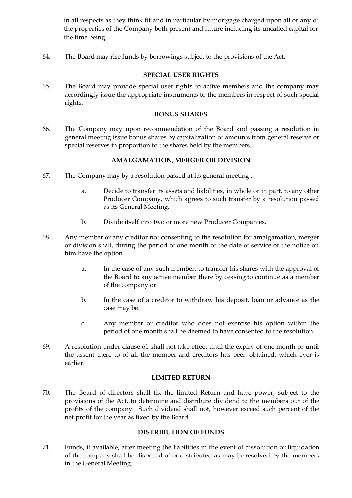in all respects as they think fit and in particular by mortgage charged upon all or any of the properties of the Company both present and future including its uncalled capital for the time being.

64. The Board may rise funds by borrowings subject to the provisions of the Act.

#### **SPECIAL USER RIGHTS**

65. The Board may provide special user rights to active members and the company may accordingly issue the appropriate instruments to the members in respect of such special rights.

#### **BONUS SHARES**

66. The Company may upon recommendation of the Board and passing a resolution in general meeting issue bonus shares by capitalization of amounts from general reserve or special reserves in proportion to the shares held by the members.

# **AMALGAMATION, MERGER OR DIVISION**

- 67. The Company may by a resolution passed at its general meeting :
	- a. Decide to transfer its assets and liabilities, in whole or in part, to any other Producer Company, which agrees to such transfer by a resolution passed as its General Meeting.
	- b. Divide itself into two or more new Producer Companies.
- 68. Any member or any creditor not consenting to the resolution for amalgamation, merger or division shall, during the period of one month of the date of service of the notice on him have the option
	- a. In the case of any such member, to transfer his shares with the approval of the Board to any active member there by ceasing to continue as a member of the company or
	- b. In the case of a creditor to withdraw his deposit, loan or advance as the case may be.
	- c. Any member or creditor who does not exercise his option within the period of one month shall be deemed to have consented to the resolution.
- 69. A resolution under clause 61 shall not take effect until the expiry of one month or until the assent there to of all the member and creditors has been obtained, which ever is earlier.

### **LIMITED RETURN**

70. The Board of directors shall fix the limited Return and have power, subject to the provisions of the Act, to determine and distribute dividend to the members out of the profits of the company. Such dividend shall not, however exceed such percent of the net profit for the year as fixed by the Board.

### **DISTRIBUTION OF FUNDS**

71. Funds, if available, after meeting the liabilities in the event of dissolution or liquidation of the company shall be disposed of or distributed as may be resolved by the members in the General Meeting.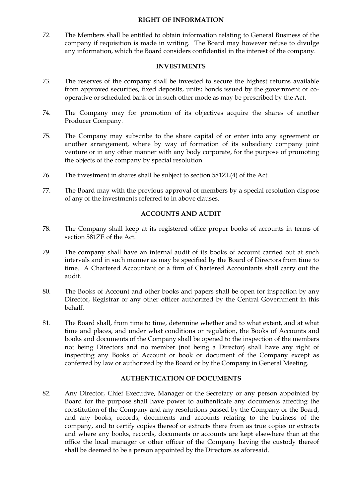#### **RIGHT OF INFORMATION**

72. The Members shall be entitled to obtain information relating to General Business of the company if requisition is made in writing. The Board may however refuse to divulge any information, which the Board considers confidential in the interest of the company.

#### **INVESTMENTS**

- 73. The reserves of the company shall be invested to secure the highest returns available from approved securities, fixed deposits, units; bonds issued by the government or cooperative or scheduled bank or in such other mode as may be prescribed by the Act.
- 74. The Company may for promotion of its objectives acquire the shares of another Producer Company.
- 75. The Company may subscribe to the share capital of or enter into any agreement or another arrangement, where by way of formation of its subsidiary company joint venture or in any other manner with any body corporate, for the purpose of promoting the objects of the company by special resolution.
- 76. The investment in shares shall be subject to section 581ZL(4) of the Act.
- 77. The Board may with the previous approval of members by a special resolution dispose of any of the investments referred to in above clauses.

# **ACCOUNTS AND AUDIT**

- 78. The Company shall keep at its registered office proper books of accounts in terms of section 581ZE of the Act.
- 79. The company shall have an internal audit of its books of account carried out at such intervals and in such manner as may be specified by the Board of Directors from time to time. A Chartered Accountant or a firm of Chartered Accountants shall carry out the audit.
- 80. The Books of Account and other books and papers shall be open for inspection by any Director, Registrar or any other officer authorized by the Central Government in this behalf.
- 81. The Board shall, from time to time, determine whether and to what extent, and at what time and places, and under what conditions or regulation, the Books of Accounts and books and documents of the Company shall be opened to the inspection of the members not being Directors and no member (not being a Director) shall have any right of inspecting any Books of Account or book or document of the Company except as conferred by law or authorized by the Board or by the Company in General Meeting.

# **AUTHENTICATION OF DOCUMENTS**

82. Any Director, Chief Executive, Manager or the Secretary or any person appointed by Board for the purpose shall have power to authenticate any documents affecting the constitution of the Company and any resolutions passed by the Company or the Board, and any books, records, documents and accounts relating to the business of the company, and to certify copies thereof or extracts there from as true copies or extracts and where any books, records, documents or accounts are kept elsewhere than at the office the local manager or other officer of the Company having the custody thereof shall be deemed to be a person appointed by the Directors as aforesaid.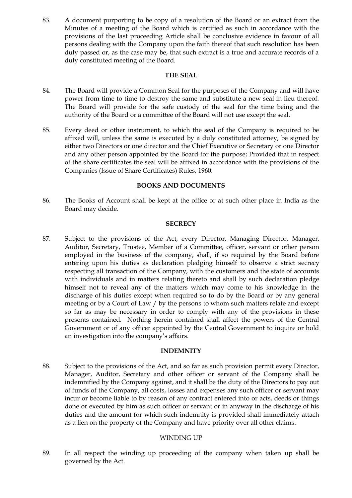83. A document purporting to be copy of a resolution of the Board or an extract from the Minutes of a meeting of the Board which is certified as such in accordance with the provisions of the last proceeding Article shall be conclusive evidence in favour of all persons dealing with the Company upon the faith thereof that such resolution has been duly passed or, as the case may be, that such extract is a true and accurate records of a duly constituted meeting of the Board.

#### **THE SEAL**

- 84. The Board will provide a Common Seal for the purposes of the Company and will have power from time to time to destroy the same and substitute a new seal in lieu thereof. The Board will provide for the safe custody of the seal for the time being and the authority of the Board or a committee of the Board will not use except the seal.
- 85. Every deed or other instrument, to which the seal of the Company is required to be affixed will, unless the same is executed by a duly constituted attorney, be signed by either two Directors or one director and the Chief Executive or Secretary or one Director and any other person appointed by the Board for the purpose; Provided that in respect of the share certificates the seal will be affixed in accordance with the provisions of the Companies (Issue of Share Certificates) Rules, 1960.

# **BOOKS AND DOCUMENTS**

86. The Books of Account shall be kept at the office or at such other place in India as the Board may decide.

### **SECRECY**

87. Subject to the provisions of the Act, every Director, Managing Director, Manager, Auditor, Secretary, Trustee, Member of a Committee, officer, servant or other person employed in the business of the company, shall, if so required by the Board before entering upon his duties as declaration pledging himself to observe a strict secrecy respecting all transaction of the Company, with the customers and the state of accounts with individuals and in matters relating thereto and shall by such declaration pledge himself not to reveal any of the matters which may come to his knowledge in the discharge of his duties except when required so to do by the Board or by any general meeting or by a Court of Law / by the persons to whom such matters relate and except so far as may be necessary in order to comply with any of the provisions in these presents contained. Nothing herein contained shall affect the powers of the Central Government or of any officer appointed by the Central Government to inquire or hold an investigation into the company's affairs.

### **INDEMNITY**

88. Subject to the provisions of the Act, and so far as such provision permit every Director, Manager, Auditor, Secretary and other officer or servant of the Company shall be indemnified by the Company against, and it shall be the duty of the Directors to pay out of funds of the Company, all costs, losses and expenses any such officer or servant may incur or become liable to by reason of any contract entered into or acts, deeds or things done or executed by him as such officer or servant or in anyway in the discharge of his duties and the amount for which such indemnity is provided shall immediately attach as a lien on the property of the Company and have priority over all other claims.

### WINDING UP

89. In all respect the winding up proceeding of the company when taken up shall be governed by the Act.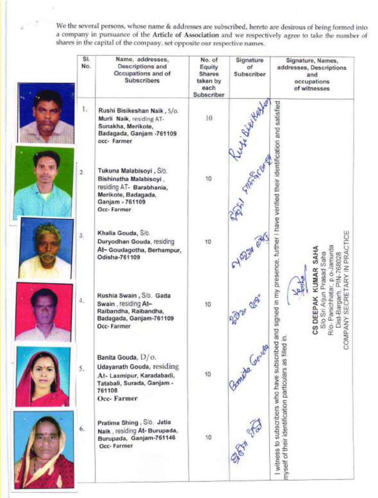We the several persons, whose name & addresses are subscribed, hereto are desirous of being formed into<br>a company in pursuance of the Article of Association and we respectively agree to take the number of<br>shares in the cap

| SI.<br>No.   | Name, addresses,<br>Descriptions and<br>Occupations and of<br>Subscribers                                                             | No. of<br>Equity<br>Shares<br>taken by<br>each<br>Subscriber | Signature<br>of<br>Subscriber | Signature, Names,<br>addresses, Descriptions<br>and<br>occupations<br>of witnesses                   |  |
|--------------|---------------------------------------------------------------------------------------------------------------------------------------|--------------------------------------------------------------|-------------------------------|------------------------------------------------------------------------------------------------------|--|
| L.           | Rushi Bisikeshan Naik, S/o.<br>Murli Naik, residing AT-<br>Sunakha, Merikote,<br>Badagada, Ganjam -761109<br>occ- Farmer              | 10                                                           |                               |                                                                                                      |  |
| $\mathbf{2}$ | Tukuna Malabisoyi, S/o.<br>Bishinatha Malabisoyi.<br>residing AT- Barabhania,<br>Merikote, Badagada,<br>Ganjam - 761109<br>Occ-Farmer | 10                                                           |                               | and signed in my presence, further I have verified their identification and satisfied                |  |
| ä,           | Khalia Gouda, S/o.<br>Duryodhan Gouda, residing<br>At-Goudagotha, Berhampur,<br>Odisha-761109                                         | 10                                                           | EY 6224                       | IN PRACTICE<br>SAHA<br>p.o-Jamurd<br>Prasad Saha<br>-768028                                          |  |
| 4.           | Rushia Swain, S/o. Gada<br>Swain, residing At-<br>Raibandha, Raibandha,<br>Badagada, Ganjam-761109<br>Occ-Farmer                      | 10                                                           | 2930 00                       | KUMAR<br>à<br>R/o-Panichhatar<br>S/o Sri Arjun<br>Dist-Bargarh<br>SECRE<br>CS DEEPAK<br>COMPANY<br>s |  |
| 5.           | Banita Gouda, D/o.<br>Udayanath Gouda, residing<br>At- Laxmipur, Karadabadi,<br>Tatabali, Surada, Ganjam -<br>761108<br>Occ-Farmer    | 10                                                           | alla Genta                    | I witness to subscribers who have subscribed                                                         |  |
| 6.           | Pratima Shing, S/o. Jatia<br>Naik, residing At- Burupada,<br>Burupada, Ganjam-761146<br>Occ-Farmer                                    | 10                                                           |                               | nyself of their identification particulars as filled                                                 |  |

**Marian Carolina**